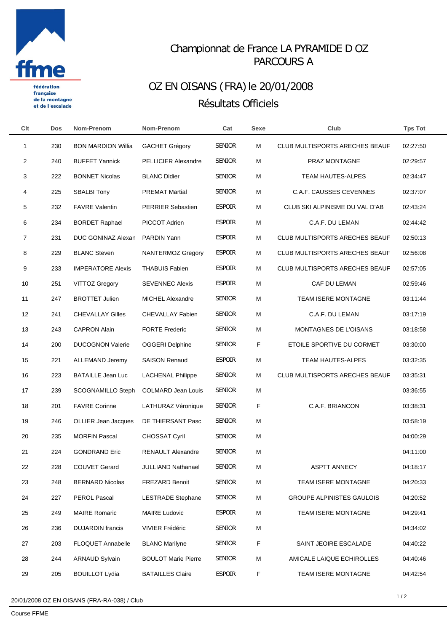

française de la montagne et de l'escalade

## Championnat de France LA PYRAMIDE D OZ PARCOURS A

## OZ EN OISANS (FRA) le 20/01/2008 Résultats Officiels

| Clt            | <b>Dos</b> | Nom-Prenom                 | Nom-Prenom                 | Cat           | Sexe | Club                                  | <b>Tps Tot</b> |  |
|----------------|------------|----------------------------|----------------------------|---------------|------|---------------------------------------|----------------|--|
| 1              | 230        | <b>BON MARDION Willia</b>  | <b>GACHET Grégory</b>      | <b>SENIOR</b> | М    | CLUB MULTISPORTS ARECHES BEAUF        | 02:27:50       |  |
| $\overline{2}$ | 240        | <b>BUFFET Yannick</b>      | <b>PELLICIER Alexandre</b> | <b>SENIOR</b> | M    | PRAZ MONTAGNE                         | 02:29:57       |  |
| 3              | 222        | <b>BONNET Nicolas</b>      | <b>BLANC Didier</b>        | <b>SENIOR</b> | м    | TEAM HAUTES-ALPES                     | 02:34:47       |  |
| 4              | 225        | <b>SBALBI Tony</b>         | <b>PREMAT Martial</b>      | <b>SENIOR</b> | M    | C.A.F. CAUSSES CEVENNES               | 02:37:07       |  |
| 5              | 232        | <b>FAVRE Valentin</b>      | <b>PERRIER Sebastien</b>   | <b>ESPOIR</b> | м    | CLUB SKI ALPINISME DU VAL D'AB        | 02:43:24       |  |
| 6              | 234        | <b>BORDET Raphael</b>      | PICCOT Adrien              | <b>ESPOIR</b> | м    | C.A.F. DU LEMAN                       | 02:44:42       |  |
| 7              | 231        | DUC GONINAZ Alexan         | PARDIN Yann                | <b>ESPOIR</b> | м    | CLUB MULTISPORTS ARECHES BEAUF        | 02:50:13       |  |
| 8              | 229        | <b>BLANC Steven</b>        | NANTERMOZ Gregory          | <b>ESPOIR</b> | м    | <b>CLUB MULTISPORTS ARECHES BEAUF</b> | 02:56:08       |  |
| 9              | 233        | <b>IMPERATORE Alexis</b>   | THABUIS Fabien             | <b>ESPOIR</b> | м    | CLUB MULTISPORTS ARECHES BEAUF        | 02:57:05       |  |
| 10             | 251        | <b>VITTOZ Gregory</b>      | <b>SEVENNEC Alexis</b>     | <b>ESPOIR</b> | м    | CAF DU LEMAN                          | 02:59:46       |  |
| 11             | 247        | <b>BROTTET Julien</b>      | MICHEL Alexandre           | <b>SENIOR</b> | M    | TEAM ISERE MONTAGNE                   | 03:11:44       |  |
| 12             | 241        | <b>CHEVALLAY Gilles</b>    | CHEVALLAY Fabien           | <b>SENIOR</b> | M    | C.A.F. DU LEMAN                       | 03:17:19       |  |
| 13             | 243        | <b>CAPRON Alain</b>        | <b>FORTE Frederic</b>      | <b>SENIOR</b> | м    | MONTAGNES DE L'OISANS                 | 03:18:58       |  |
| 14             | 200        | <b>DUCOGNON Valerie</b>    | <b>OGGERI Delphine</b>     | <b>SENIOR</b> | F    | ETOILE SPORTIVE DU CORMET             | 03:30:00       |  |
| 15             | 221        | <b>ALLEMAND Jeremy</b>     | <b>SAISON Renaud</b>       | <b>ESPOIR</b> | M    | TEAM HAUTES-ALPES                     | 03:32:35       |  |
| 16             | 223        | <b>BATAILLE Jean Luc</b>   | <b>LACHENAL Philippe</b>   | <b>SENIOR</b> | м    | <b>CLUB MULTISPORTS ARECHES BEAUF</b> | 03:35:31       |  |
| 17             | 239        | <b>SCOGNAMILLO Steph</b>   | <b>COLMARD Jean Louis</b>  | <b>SENIOR</b> | M    |                                       | 03:36:55       |  |
| 18             | 201        | <b>FAVRE Corinne</b>       | LATHURAZ Véronique         | <b>SENIOR</b> | F    | C.A.F. BRIANCON                       | 03:38:31       |  |
| 19             | 246        | <b>OLLIER Jean Jacques</b> | DE THIERSANT Pasc          | <b>SENIOR</b> | М    |                                       | 03:58:19       |  |
| 20             | 235        | <b>MORFIN Pascal</b>       | <b>CHOSSAT Cyril</b>       | <b>SENIOR</b> | M    |                                       | 04:00:29       |  |
| 21             | 224        | <b>GONDRAND Eric</b>       | <b>RENAULT Alexandre</b>   | <b>SENIOR</b> | M    |                                       | 04:11:00       |  |
| 22             | 228        | <b>COUVET Gerard</b>       | <b>JULLIAND Nathanael</b>  | <b>SENIOR</b> | М    | <b>ASPTT ANNECY</b>                   | 04:18:17       |  |
| 23             | 248        | <b>BERNARD Nicolas</b>     | <b>FREZARD Benoit</b>      | <b>SENIOR</b> | м    | TEAM ISERE MONTAGNE                   | 04:20:33       |  |
| 24             | 227        | PEROL Pascal               | <b>LESTRADE Stephane</b>   | <b>SENIOR</b> | М    | <b>GROUPE ALPINISTES GAULOIS</b>      | 04:20:52       |  |
| 25             | 249        | <b>MAIRE Romaric</b>       | <b>MAIRE Ludovic</b>       | <b>ESPOIR</b> | м    | TEAM ISERE MONTAGNE                   | 04:29:41       |  |
| 26             | 236        | <b>DUJARDIN</b> francis    | <b>VIVIER Frédéric</b>     | <b>SENIOR</b> | М    |                                       | 04:34:02       |  |
| 27             | 203        | FLOQUET Annabelle          | <b>BLANC Marilyne</b>      | <b>SENIOR</b> | F    | SAINT JEOIRE ESCALADE                 | 04:40:22       |  |
| 28             | 244        | <b>ARNAUD Sylvain</b>      | <b>BOULOT Marie Pierre</b> | <b>SENIOR</b> | м    | AMICALE LAIQUE ECHIROLLES             | 04:40:46       |  |
| 29             | 205        | <b>BOUILLOT Lydia</b>      | <b>BATAILLES Claire</b>    | <b>ESPOIR</b> | F    | TEAM ISERE MONTAGNE                   | 04:42:54       |  |
|                |            |                            |                            |               |      |                                       |                |  |